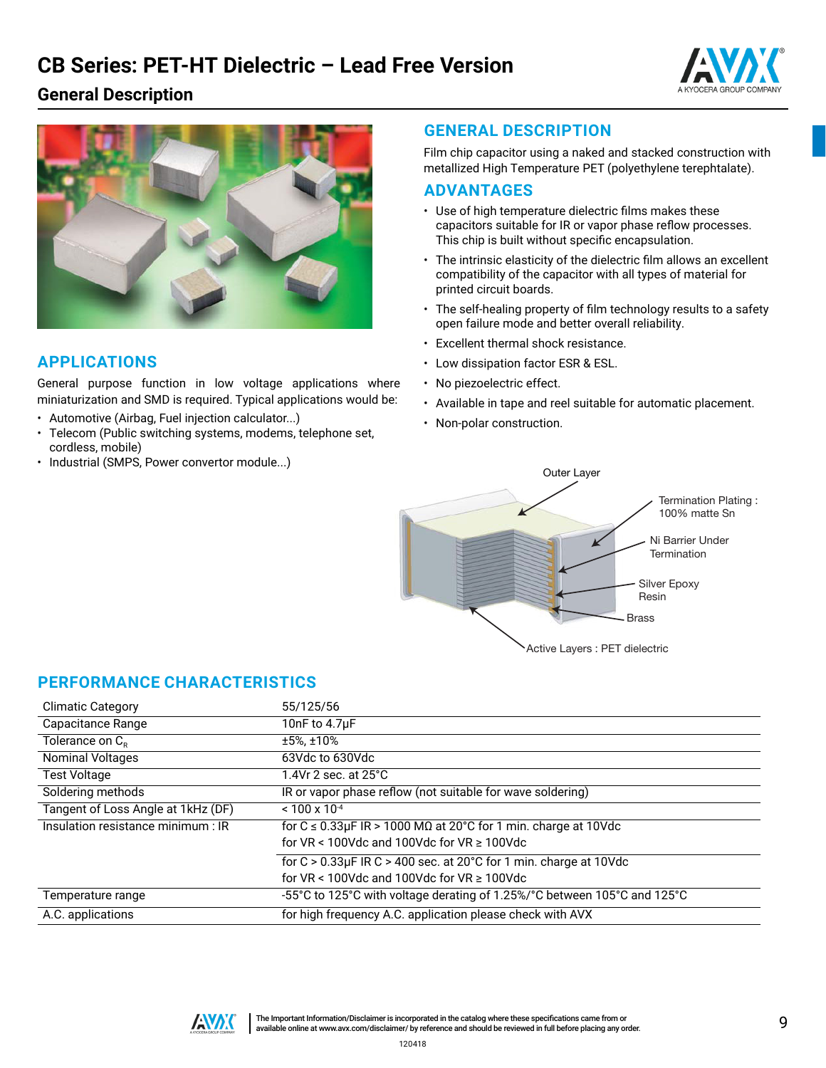# **CB Series: PET-HT Dielectric – Lead Free Version**







### **APPLICATIONS**

General purpose function in low voltage applications where miniaturization and SMD is required. Typical applications would be:

- Automotive (Airbag, Fuel injection calculator...)
- Telecom (Public switching systems, modems, telephone set, cordless, mobile)
- Industrial (SMPS, Power convertor module...)

#### **GENERAL DESCRIPTION**

Film chip capacitor using a naked and stacked construction with metallized High Temperature PET (polyethylene terephtalate).

#### **ADVANTAGES**

- Use of high temperature dielectric films makes these capacitors suitable for IR or vapor phase reflow processes. This chip is built without specific encapsulation.
- The intrinsic elasticity of the dielectric film allows an excellent compatibility of the capacitor with all types of material for printed circuit boards.
- The self-healing property of film technology results to a safety open failure mode and better overall reliability.
- Excellent thermal shock resistance.
- Low dissipation factor ESR & ESL.
- No piezoelectric effect.
- Available in tape and reel suitable for automatic placement.
- Non-polar construction.



### **PERFORMANCE CHARACTERISTICS**

| <b>Climatic Category</b>           | 55/125/56                                                                      |
|------------------------------------|--------------------------------------------------------------------------------|
| Capacitance Range                  | 10nF to $4.7\mu$ F                                                             |
| Tolerance on $C_R$                 | $±5\%$ , $±10\%$                                                               |
| <b>Nominal Voltages</b>            | 63Vdc to 630Vdc                                                                |
| <b>Test Voltage</b>                | $1.4$ Vr 2 sec. at $25^{\circ}$ C                                              |
| Soldering methods                  | IR or vapor phase reflow (not suitable for wave soldering)                     |
| Tangent of Loss Angle at 1kHz (DF) | $< 100 \times 10^{-4}$                                                         |
| Insulation resistance minimum : IR | for $C \le 0.33 \mu$ F IR > 1000 M $\Omega$ at 20°C for 1 min. charge at 10Vdc |
|                                    | for $VR < 100$ Vdc and 100Vdc for $VR \ge 100$ Vdc                             |
|                                    | for $C > 0.33 \mu$ F IR C > 400 sec. at 20°C for 1 min. charge at 10Vdc        |
|                                    | for $VR < 100$ Vdc and $100$ Vdc for $VR > 100$ Vdc                            |
| Temperature range                  | -55°C to 125°C with voltage derating of 1.25%/°C between 105°C and 125°C       |
| A.C. applications                  | for high frequency A.C. application please check with AVX                      |

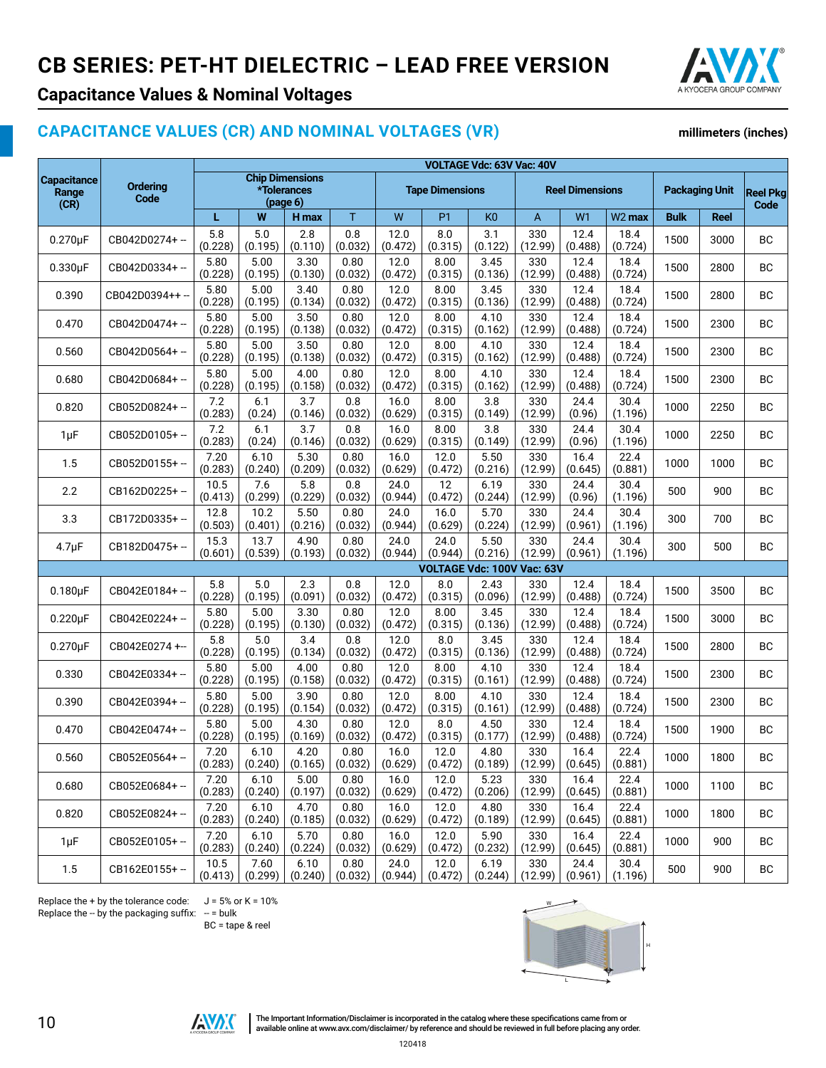

# **Capacitance Values & Nominal Voltages**

# **CAPACITANCE VALUES (CR) AND NOMINAL VOLTAGES (VR)**

#### **millimeters (inches)**

|                                     |                         | VOLTAGE Vdc: 63V Vac: 40V |                                                   |                 |                 |                        |                             |                            |                          |                 |                       |             |                         |           |
|-------------------------------------|-------------------------|---------------------------|---------------------------------------------------|-----------------|-----------------|------------------------|-----------------------------|----------------------------|--------------------------|-----------------|-----------------------|-------------|-------------------------|-----------|
| <b>Capacitance</b><br>Range<br>(CR) | <b>Ordering</b><br>Code |                           | <b>Chip Dimensions</b><br>*Tolerances<br>(page 6) |                 |                 | <b>Tape Dimensions</b> |                             |                            | <b>Reel Dimensions</b>   |                 | <b>Packaging Unit</b> |             | <b>Reel Pkg</b><br>Code |           |
|                                     |                         | L                         | W                                                 | H max           | T               | W                      | P <sub>1</sub>              | K <sub>0</sub>             | A                        | W <sub>1</sub>  | W <sub>2</sub> max    | <b>Bulk</b> | Reel                    |           |
| $0.270 \mu F$                       | CB042D0274+-            | 5.8<br>(0.228)            | 5.0<br>(0.195)                                    | 2.8<br>(0.110)  | 0.8<br>(0.032)  | 12.0<br>(0.472)        | 8.0<br>(0.315)              | 3.1<br>(0.122)             | 330<br>(12.99)           | 12.4<br>(0.488) | 18.4<br>(0.724)       | 1500        | 3000                    | BC        |
| $0.330\mu F$                        | CB042D0334+-            | 5.80<br>(0.228)           | 5.00<br>(0.195)                                   | 3.30<br>(0.130) | 0.80<br>(0.032) | 12.0<br>(0.472)        | 8.00<br>(0.315)             | 3.45<br>(0.136)            | 330<br>(12.99)           | 12.4<br>(0.488) | 18.4<br>(0.724)       | 1500        | 2800                    | BC        |
| 0.390                               | CB042D0394++ --         | 5.80<br>(0.228)           | 5.00<br>(0.195)                                   | 3.40<br>(0.134) | 0.80<br>(0.032) | 12.0<br>(0.472)        | 8.00<br>(0.315)             | 3.45<br>(0.136)            | 330<br>(12.99)           | 12.4<br>(0.488) | 18.4<br>(0.724)       | 1500        | 2800                    | BC        |
| 0.470                               | CB042D0474+ --          | 5.80<br>(0.228)           | 5.00<br>(0.195)                                   | 3.50<br>(0.138) | 0.80<br>(0.032) | 12.0<br>(0.472)        | 8.00<br>(0.315)             | 4.10<br>(0.162)            | 330<br>(12.99)           | 12.4<br>(0.488) | 18.4<br>(0.724)       | 1500        | 2300                    | ВC        |
| 0.560                               | CB042D0564+-            | 5.80<br>(0.228)           | 5.00<br>(0.195)                                   | 3.50<br>(0.138) | 0.80<br>(0.032) | 12.0<br>(0.472)        | 8.00<br>(0.315)             | 4.10<br>(0.162)            | 330<br>(12.99)           | 12.4<br>(0.488) | 18.4<br>(0.724)       | 1500        | 2300                    | BC        |
| 0.680                               | CB042D0684+-            | 5.80<br>(0.228)           | 5.00<br>(0.195)                                   | 4.00<br>(0.158) | 0.80<br>(0.032) | 12.0<br>(0.472)        | 8.00<br>(0.315)             | 4.10<br>(0.162)            | 330<br>(12.99)           | 12.4<br>(0.488) | 18.4<br>(0.724)       | 1500        | 2300                    | BC        |
| 0.820                               | CB052D0824+-            | 7.2<br>(0.283)            | 6.1<br>(0.24)                                     | 3.7<br>(0.146)  | 0.8<br>(0.032)  | 16.0<br>(0.629)        | 8.00<br>(0.315)             | 3.8<br>(0.149)             | 330<br>(12.99)           | 24.4<br>(0.96)  | 30.4<br>(1.196)       | 1000        | 2250                    | <b>BC</b> |
| $1\mu F$                            | CB052D0105+-            | 7.2<br>(0.283)            | 6.1<br>(0.24)                                     | 3.7<br>(0.146)  | 0.8<br>(0.032)  | 16.0<br>(0.629)        | 8.00<br>(0.315)             | 3.8<br>(0.149)             | 330<br>(12.99)           | 24.4<br>(0.96)  | 30.4<br>(1.196)       | 1000        | 2250                    | <b>BC</b> |
| 1.5                                 | CB052D0155+-            | 7.20<br>(0.283)           | 6.10<br>(0.240)                                   | 5.30<br>(0.209) | 0.80<br>(0.032) | 16.0<br>(0.629)        | 12.0<br>(0.472)             | 5.50<br>(0.216)            | 330<br>(12.99)           | 16.4<br>(0.645) | 22.4<br>(0.881)       | 1000        | 1000                    | ВC        |
| 2.2                                 | CB162D0225+-            | 10.5<br>(0.413)           | 7.6<br>(0.299)                                    | 5.8<br>(0.229)  | 0.8<br>(0.032)  | 24.0<br>(0.944)        | 12<br>(0.472)               | 6.19<br>(0.244)            | 330<br>(12.99)           | 24.4<br>(0.96)  | 30.4<br>(1.196)       | 500         | 900                     | BC        |
| 3.3                                 | CB172D0335+-            | 12.8<br>(0.503)           | 10.2<br>(0.401)                                   | 5.50<br>(0.216) | 0.80<br>(0.032) | 24.0<br>(0.944)        | 16.0<br>(0.629)             | 5.70<br>(0.224)            | 330<br>(12.99)           | 24.4<br>(0.961) | 30.4<br>(1.196)       | 300         | 700                     | BC        |
| $4.7 \mu F$                         | CB182D0475+-            | 15.3<br>(0.601)           | 13.7<br>(0.539)                                   | 4.90<br>(0.193) | 0.80<br>(0.032) | 24.0<br>(0.944)        | 24.0<br>(0.944)             | 5.50<br>(0.216)            | 330<br>(12.99)           | 24.4<br>(0.961) | 30.4<br>(1.196)       | 300         | 500                     | <b>BC</b> |
|                                     |                         |                           |                                                   |                 |                 |                        |                             | VOLTAGE Vdc: 100V Vac: 63V |                          |                 |                       |             |                         |           |
| $0.180\mu F$                        | CB042E0184+-            | 5.8<br>(0.228)            | 5.0<br>(0.195)                                    | 2.3<br>(0.091)  | 0.8<br>(0.032)  | 12.0<br>(0.472)        | 8.0<br>(0.315)              | 2.43<br>(0.096)            | 330<br>(12.99)           | 12.4<br>(0.488) | 18.4<br>(0.724)       | 1500        | 3500                    | BС        |
| $0.220 \mu F$                       | CB042E0224+-            | 5.80<br>(0.228)           | 5.00<br>(0.195)                                   | 3.30<br>(0.130) | 0.80<br>(0.032) | 12.0<br>(0.472)        | 8.00<br>(0.315)             | 3.45<br>(0.136)            | 330<br>(12.99)           | 12.4<br>(0.488) | 18.4<br>(0.724)       | 1500        | 3000                    | BC        |
| $0.270 \mu F$                       | CB042E0274+-            | 5.8<br>(0.228)            | 5.0<br>(0.195)                                    | 3.4<br>(0.134)  | 0.8<br>(0.032)  | 12.0<br>(0.472)        | 8.0<br>(0.315)              | 3.45<br>(0.136)            | 330<br>(12.99)           | 12.4<br>(0.488) | 18.4<br>(0.724)       | 1500        | 2800                    | BC        |
| 0.330                               | CB042E0334+-            | 5.80<br>(0.228)           | 5.00<br>(0.195)                                   | 4.00<br>(0.158) | 0.80<br>(0.032) | 12.0<br>(0.472)        | 8.00<br>(0.315)             | 4.10<br>(0.161)            | 330<br>(12.99)           | 12.4<br>(0.488) | 18.4<br>(0.724)       | 1500        | 2300                    | BC        |
| 0.390                               | CB042E0394+-            | 5.80<br>(0.228)           | 5.00<br>(0.195)                                   | 3.90<br>(0.154) | 0.80<br>(0.032) | 12.0<br>(0.472)        | 8.00<br>(0.315)             | 4.10<br>(0.161)            | 330<br>(12.99)           | 12.4<br>(0.488) | 18.4<br>(0.724)       | 1500        | 2300                    | BC        |
| 0.470                               | CB042E0474+-            | 5.80<br>(0.228)           | 5.00<br>(0.195)                                   | 4.30<br>(0.169) | 0.80<br>(0.032) | 12.0<br>(0.472)        | 8.0<br>(0.315)              | 4.50<br>(0.177)            | 330<br>(12.99)           | 12.4<br>(0.488) | 18.4<br>(0.724)       | 1500        | 1900                    | BC        |
| 0.560                               | CB052E0564+-            | 7.20<br>(0.283)           | 6.10<br>(0.240)                                   | 4.20<br>(0.165) | 0.80<br>(0.032) | 16.0                   | 12.0<br>$(0.629)$ $(0.472)$ | 4.80                       | 330<br>$(0.189)$ (12.99) | 16.4<br>(0.645) | 22.4<br>(0.881)       | 1000        | 1800                    | BC        |
| 0.680                               | CB052E0684+-            | 7.20<br>(0.283)           | 6.10<br>(0.240)                                   | 5.00<br>(0.197) | 0.80<br>(0.032) | 16.0<br>(0.629)        | 12.0<br>(0.472)             | 5.23<br>(0.206)            | 330<br>(12.99)           | 16.4<br>(0.645) | 22.4<br>(0.881)       | 1000        | 1100                    | BC        |
| 0.820                               | CB052E0824+-            | 7.20<br>(0.283)           | 6.10<br>(0.240)                                   | 4.70<br>(0.185) | 0.80<br>(0.032) | 16.0<br>(0.629)        | 12.0<br>(0.472)             | 4.80<br>(0.189)            | 330<br>(12.99)           | 16.4<br>(0.645) | 22.4<br>(0.881)       | 1000        | 1800                    | BС        |
| $1 \mu F$                           | CB052E0105+-            | 7.20<br>(0.283)           | 6.10<br>(0.240)                                   | 5.70<br>(0.224) | 0.80<br>(0.032) | 16.0<br>(0.629)        | 12.0<br>(0.472)             | 5.90<br>(0.232)            | 330<br>(12.99)           | 16.4<br>(0.645) | 22.4<br>(0.881)       | 1000        | 900                     | BC        |
| 1.5                                 | CB162E0155+-            | 10.5<br>(0.413)           | 7.60<br>(0.299)                                   | 6.10<br>(0.240) | 0.80<br>(0.032) | 24.0<br>(0.944)        | 12.0<br>(0.472)             | 6.19<br>(0.244)            | 330<br>(12.99)           | 24.4<br>(0.961) | 30.4<br>(1.196)       | 500         | 900                     | BС        |

Replace the + by the tolerance code:  $J = 5%$  or  $K = 10%$ Replace the  $-$  by the packaging suffix:  $-$  = bulk

BC = tape & reel





The Important Information/Disclaimer is incorporated in the catalog where these specifications came from or available online at [www.avx.com/disclaimer/](http://www.avx.com/resources/catalogs/datasheet-catalog-disclaimer/) by reference and should be reviewed in full before placing any order.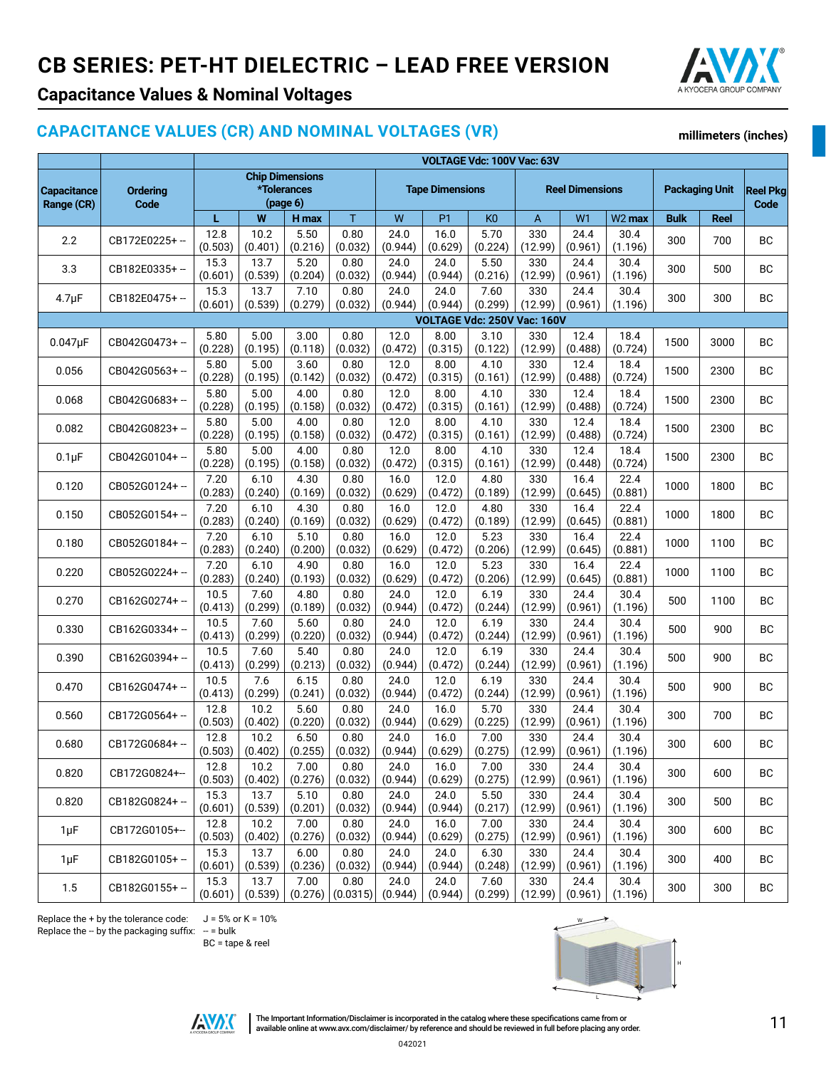

**millimeters (inches)**

# **Capacitance Values & Nominal Voltages**

#### **CAPACITANCE VALUES (CR) AND NOMINAL VOLTAGES (VR)**

**VOLTAGE Vdc: 100V Vac: 63V Capacitance Range (CR) Ordering Code Chip Dimensions \*Tolerances (page 6) Tape Dimensions Reel Dimensions Packaging Unit Reel Pkg Code L W H max** T W P1 K0 A W1 W2 **max Bulk Reel** 2.2 CB172E0225+ -- 12.8 (0.503) 10.2 (0.401) 5.50 (0.216) 0.80 (0.032) 24.0 (0.944) 16.0 (0.629) 5.70 (0.224) 330 (12.99) 24.4 (0.961) 30.4  $\begin{array}{|c|c|c|c|c|c|c|c|} \hline 300 & 700 & 80 \ \hline (1.196) & 300 & 700 & 80 \ \hline \end{array}$ 3.3 CB182E0335+ -- 15.3 (0.601) 13.7 (0.539) 5.20 (0.204) 0.80 (0.032) 24.0 (0.944) 24.0 (0.944) 5.50 (0.216) 330 (12.99) 24.4 (0.961) 30.4  $\begin{array}{c|c|c|c} 30.4 & 300 & 500 & BC \end{array}$  $4.7 \mu$ F CB182E0475+ - 15.3 (0.601) 13.7 (0.539) 7.10 (0.279) 0.80 (0.032) 24.0 (0.944) 24.0 (0.944) 7.60 (0.299) 330 (12.99) 24.4 (0.961) 30.4  $(1.196)$  300 300 BC **VOLTAGE Vdc: 250V Vac: 160V**  $0.047 \mu$ F CB042G0473+ -- 5.80 (0.228) 5.00 (0.195) 3.00 (0.118) 0.80 (0.032) 12.0 (0.472) 8.00 (0.315) 3.10 (0.122) 330 (12.99) 12.4 (0.488) 18.4  $\begin{array}{|c|c|c|c|c|c|} \hline 18.4 & 1500 & 3000 & \text{BC} \ \hline (0.724) & & & & \end{array}$  $\overline{0.056}$  CB042G0563+ - 5.80 (0.228) 5.00 (0.195)  $3.60$ (0.142) 0.80 (0.032)  $12.0$ (0.472) 8.00 (0.315)  $4.10$ (0.161) 330 (12.99) 12.4 (0.488) 18.4  $(0.724)$  1500 2300 BC  $0.068$  CB042G0683+ -- 5.80 (0.228) 5.00 (0.195) 4.00 (0.158) 0.80 (0.032) 12.0 (0.472) 8.00 (0.315) 4.10 (0.161) 330 (12.99) 12.4 (0.488) 18.4  $(0.724)$  1500 2300 BC  $0.082$  CB042G0823+ -- 5.80 (0.228) 5.00 (0.195) 4.00 (0.158) 0.80 (0.032) 12.0 (0.472) 8.00 (0.315) 4.10 (0.161) 330 (12.99) 12.4 (0.488) 18.4  $(0.724)$  1500 2300 BC  $0.1 \mu$ F  $\Big|$  CB042G0104+ -  $\Big|$  5.80 (0.228) 5.00 (0.195) 4.00 (0.158) 0.80 (0.032) 12.0 (0.472) 8.00 (0.315) 4.10 (0.161) 330 (12.99) 12.4 (0.448) 18.4  $(0.724)$  1500 2300 BC  $0.120$  CB052G0124+ -  $7.20$ (0.283) 6.10 (0.240) 4.30 (0.169) 0.80 (0.032) 16.0 (0.629) 12.0 (0.472) 4.80 (0.189) 330 (12.99) 16.4 (0.645) 22.4  $\begin{array}{c|c|c|c|c} \n\text{22.4} & 1000 & 1800 & \text{BC} \n\end{array}$ 0.150 CB052G0154+ -- 7.20 (0.283) 6.10 (0.240) 4.30 (0.169) 0.80 (0.032) 16.0 (0.629) 12.0 (0.472) 4.80 (0.189) 330 (12.99) 16.4 (0.645) 22.4  $(0.881)$  1000 1800 BC 0.180 CB052G0184+ -- 7.20 (0.283) 6.10 (0.240) 5.10 (0.200) 0.80 (0.032) 16.0 (0.629) 12.0 (0.472) 5.23 (0.206) 330 (12.99) 16.4 (0.645) 22.4  $\begin{array}{|c|c|c|c|c|c|} \hline 22.4 & 1000 & 1100 & \text{BC} \ \hline (0.881) & 1000 & 1100 & \text{BC} \ \hline \end{array}$ 0.220 CB052G0224+ -- 7.20 (0.283) 6.10 (0.240) 4.90 (0.193) 0.80 (0.032) 16.0 (0.629) 12.0 (0.472) 5.23 (0.206) 330 (12.99) 16.4 (0.645) 22.4  $(0.881)$  1000 1100 BC 0.270 CB162G0274+ -- 10.5 (0.413) 7.60 (0.299) 4.80 (0.189) 0.80 (0.032) 24.0  $(0.944)$ 12.0 (0.472) 6.19  $(0.244)$ 330 (12.99) 24.4 (0.961) 30.4  $\begin{array}{c|c|c|c|c|c} 30.4 & 500 & 1100 & BC \end{array}$  $0.330$  CB162G0334+ -  $10.5$ (0.413) 7.60 (0.299) 5.60 (0.220) 0.80 (0.032) 24.0 (0.944) 12.0 (0.472) 6.19 (0.244) 330 (12.99) 24.4 (0.961) 30.4  $\begin{array}{c|c|c|c|c|c} 30.4 & 500 & 900 & BC \end{array}$  $0.390$  CB162G0394+ - 10.5 (0.413) 7.60 (0.299) 5.40 (0.213) 0.80 (0.032) 24.0 (0.944) 12.0 (0.472) 6.19 (0.244) 330 (12.99) 24.4 (0.961) 30.4  $\begin{array}{c|c|c|c|c} 30.4 & 500 & 900 & BC \end{array}$  $0.470$  CB162G0474+ - 10.5 (0.413) 7.6 (0.299) 6.15 (0.241) 0.80 (0.032) 24.0 (0.944) 12.0 (0.472) 6.19 (0.244) 330 (12.99) 24.4 (0.961) 30.4  $\begin{array}{c|c|c|c|c} 30.4 & 500 & 900 & \text{BC} \end{array}$  $0.560$  CB172G0564+ -- 12.8 (0.503) 10.2 (0.402) 5.60 (0.220) 0.80 (0.032) 24.0 (0.944) 16.0 (0.629) 5.70 (0.225) 330 (12.99) 24.4 (0.961) 30.4  $\begin{array}{c|c|c|c|c} 30.4 & 300 & 700 & \text{BC} \end{array}$  $0.680$  CB172G0684+ -- 12.8 (0.503) 10.2 (0.402) 6.50 (0.255) 0.80 (0.032) 24.0 (0.944) 16.0 (0.629) 7.00 (0.275) 330 (12.99) 24.4 (0.961) 30.4  $\begin{array}{c|c|c|c|c} 30.4 & 300 & 600 & \text{BC} \end{array}$  $0.820$  CB172G0824+- 12.8 (0.503) 10.2 (0.402) 7.00 (0.276) 0.80 (0.032) 24.0 (0.944) 16.0 (0.629) 7.00 (0.275) 330 (12.99) 24.4 (0.961) 30.4  $\begin{array}{|c|c|c|c|c|c|} \hline 30.4 & 300 & 600 & \text{BC} \ \hline (1.196) & 300 & 600 & \text{BC} \ \hline \end{array}$  $0.820$  CB182G0824+ - 15.3 (0.601) 13.7 (0.539) 5.10 (0.201) 0.80 (0.032) 24.0 (0.944) 24.0 (0.944) 5.50 (0.217) 330 (12.99) 24.4 (0.961) 30.4  $\begin{array}{c|c|c|c|c} 30.4 & 300 & 500 & BC \end{array}$  $1 \mu$ F  $\left| \begin{array}{c} C\text{B}172G0105++\\ C\text{B}29G0105+\end{array} \right|$ (0.503) 10.2 (0.402) 7.00 (0.276) 0.80 (0.032) 24.0 (0.944) 16.0 (0.629) 7.00 (0.275) 330 (12.99) 24.4 (0.961) 30.4  $\begin{array}{c|c|c|c|c} 30.4 & 300 & 600 & BC \end{array}$  $1 \mu$ F  $\left| \text{CB182G0105+} - \right|$   $\mu$  = 15.3 (0.601) 13.7 (0.539) 6.00 (0.236) 0.80 (0.032) 24.0 (0.944) 24.0 (0.944) 6.30 (0.248) 330 (12.99) 24.4 (0.961) 30.4  $\begin{array}{c|c|c|c} 30.4 & 300 & 400 & BC \end{array}$ 1.5 CB182G0155+ - 15.3 (0.601) 13.7 (0.539) 7.00 (0.276) 0.80 (0.0315) 24.0 (0.944) 24.0 (0.944) 7.60 (0.299) 330 (12.99)  $24.4$ (0.961) 30.4  $\begin{array}{c|c|c|c} 30.4 & 300 & 300 & BC \end{array}$ 

Replace the + by the tolerance code:  $J = 5%$  or K = 10% Replace the  $-$  by the packaging suffix:  $-$  = bulk

BC = tape & reel





The Important Information/Disclaimer is incorporated in the catalog where these specifications came from or The Important Information/Disclaimer is incorporated in the catalog where these specifications came from or completion or and the order.<br>The important proview any disclaimer/ by reference and should be reviewed in full bef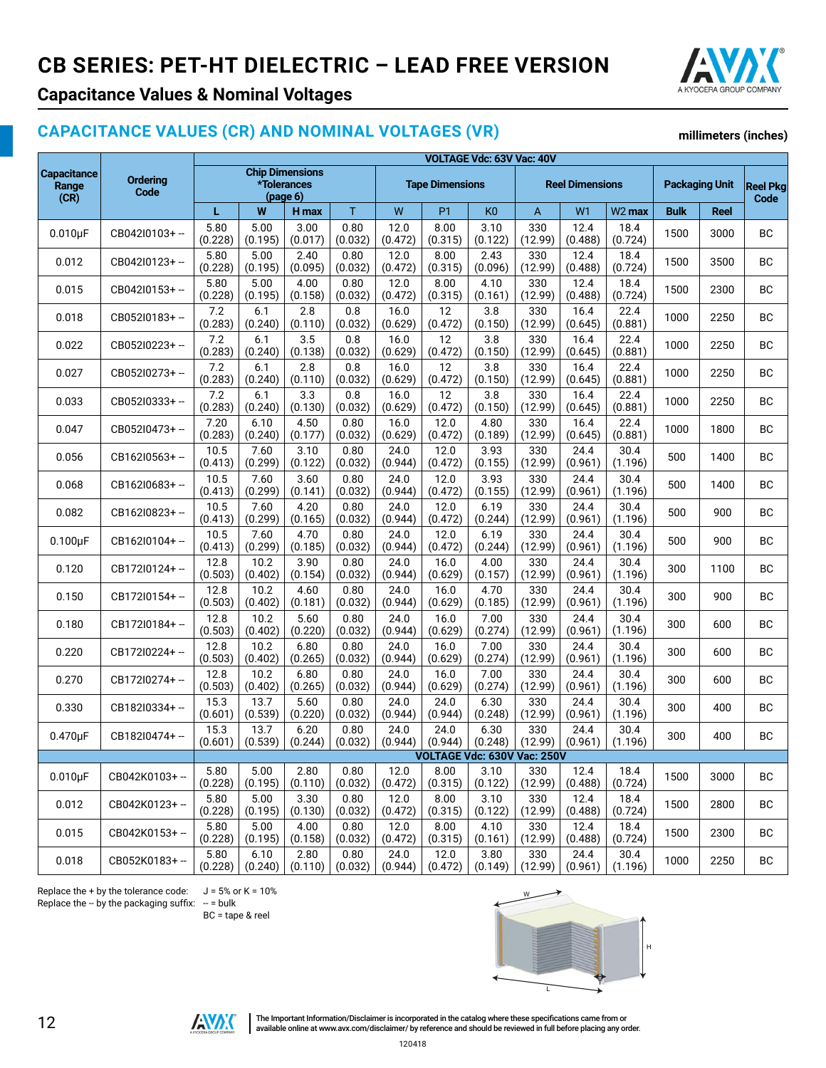

**millimeters (inches)**

### **Capacitance Values & Nominal Voltages**

#### **CAPACITANCE VALUES (CR) AND NOMINAL VOLTAGES (VR)**

#### **Capacitance Range (CR) Ordering Code VOLTAGE Vdc: 63V Vac: 40V Chip Dimensions \*Tolerances (page 6) Tape Dimensions Reel Dimensions Packaging Unit Reel Pkg Code L W H max** T W P1 K0 A W1 W2 **max Bulk Reel**  $0.010 \text{uF}$  CB042I0103+ -- 5.80 (0.228) 5.00 (0.195) 3.00 (0.017) 0.80 (0.032) 12.0 (0.472) 8.00 (0.315) 3.10 (0.122) 330 (12.99) 12.4 (0.488) 18.4  $(0.724)$  1500 3000 BC  $0.012$  CB042I0123+ - 5.80 (0.228) 5.00 (0.195) 2.40 (0.095) 0.80 (0.032) 12.0 (0.472) 8.00 (0.315) 2.43 (0.096) 330 (12.99) 12.4 (0.488) 18.4  $(0.724)$  1500 3500 BC  $0.015$  CB042I0153+ - 5.80 (0.228) 5.00 (0.195) 4.00 (0.158) 0.80 (0.032) 12.0 (0.472) 8.00 (0.315) 4.10 (0.161) 330 (12.99) 12.4 (0.488) 18.4  $(0.724)$  1500 2300 BC  $0.018$  CB052I0183+ --  $\begin{bmatrix} 7.2 \\ 0.028 \end{bmatrix}$ (0.283) 6.1 (0.240) 2.8 (0.110) 0.8 (0.032) 16.0 (0.629) 12 (0.472) 3.8 (0.150) 330 (12.99) 16.4 (0.645) 22.4  $\begin{array}{|c|c|c|c|c|c|} \hline 22.4 & 1000 & 2250 & \text{BC} \ \hline (0.881) & 1000 & 2250 & \text{BC} \ \hline \end{array}$  $0.022$  CB052I0223+ --  $\begin{bmatrix} 7.2 \\ 2.2 \end{bmatrix}$ (0.283) 6.1 (0.240) 3.5 (0.138) 0.8 (0.032) 16.0 (0.629) 12 (0.472) 3.8 (0.150) 330 (12.99) 16.4 (0.645) 22.4  $\begin{array}{c|c|c|c}\n 22.4 & 1000 & 2250 & BC\n\end{array}$  $0.027$  CB052I0273+ -  $\begin{bmatrix} 7.2 \\ 0.28 \end{bmatrix}$ (0.283) 6.1 (0.240) 2.8 (0.110) 0.8 (0.032) 16.0 (0.629) 12 (0.472) 3.8 (0.150) 330 (12.99) 16.4 (0.645) 22.4  $\begin{array}{c|c|c|c|c} \n & 22.4 & 1000 & 2250 & \n\hline\n & 6.881 & & \n\end{array}$  $0.033$  CB052I0333+ --  $\begin{bmatrix} 7.2 \\ 0.28 \end{bmatrix}$ (0.283) 6.1 (0.240) 3.3 (0.130) 0.8 (0.032) 16.0 (0.629) 12 (0.472) 3.8 (0.150) 330 (12.99) 16.4 (0.645) 22.4  $(0.881)$  1000 2250 BC  $0.047$  CB052I0473+ - 7.20 (0.283) 6.10 (0.240) 4.50 (0.177) 0.80 (0.032) 16.0 (0.629) 12.0 (0.472) 4.80 (0.189) 330 (12.99) 16.4 (0.645) 22.4  $\begin{array}{c|c|c|c}\n 22.4 & 1000 & 1800 & BC\n\end{array}$  BC  $0.056$   $CR16210563+ -$  10.5 (0.413) 7.60 (0.299) 3.10 (0.122) 0.80 (0.032) 24.0 (0.944) 12.0 (0.472) 3.93 (0.155) 330 (12.99) 24.4 (0.961) 30.4  $\begin{array}{c|c|c|c|c} 30.4 & 500 & 1400 & BC \end{array}$  $0.068$  CB162I0683+ -- 10.5 (0.413) 7.60 (0.299) 3.60 (0.141) 0.80 (0.032) 24<sub>0</sub> (0.944) 12.0 (0.472) 3.93 (0.155) 330 (12.99) 24.4 (0.961) 30.4  $\begin{array}{c|c|c|c|c} 30.4 & 500 & 1400 & BC \end{array}$  $0.082$  CB162I0823+ -- 10.5 (0.413) 7.60 (0.299) 4.20 (0.165) 0.80 (0.032) 24.0 (0.944) 12.0 (0.472) 6.19 (0.244) 330 (12.99) 24.4 (0.961) 30.4  $\begin{array}{c|c|c|c|c} 30.4 & 500 & 900 & BC \end{array}$  $0.100 \mu$ F CB162I0104+ -- 10.5 (0.413) 7.60 (0.299) 4.70 (0.185) 0.80 (0.032) 24.0 (0.944) 12.0 (0.472) 6.19 (0.244) 330 (12.99) 24.4 (0.961) 30.4  $\begin{array}{c|c|c|c|c} 30.4 & 500 & 900 & BC \end{array}$  $0.120$  CB172I0124+ - 12.8 (0.503) 10.2 (0.402) 3.90 (0.154) 0.80 (0.032) 24.0 (0.944) 16.0 (0.629) 4.00 (0.157) 330 (12.99) 24.4 (0.961) 30.4  $\begin{array}{c|c|c|c|c} 30.4 & 300 & 1100 & BC \end{array}$ 0.150 CB172I0154+ -- 12.8 (0.503) 10.2 (0.402) 4.60 (0.181) 0.80 (0.032) 24.0 (0.944) 16.0 (0.629) 4.70 (0.185) 330 (12.99) 24.4 (0.961) 30.4  $\begin{array}{c|c|c|c|c} 30.4 & 300 & 900 & \text{BC} \end{array}$  $0.180$  CB172I0184+ - 12.8 (0.503) 10.2 (0.402) 5.60 (0.220) 0.80 (0.032) 24.0 (0.944) 16.0 (0.629) 7.00 (0.274) 330 (12.99) 24.4 (0.961) 30.4  $\begin{array}{c|c} 30.4 \ 1.196 \end{array}$  300 600 BC  $0.220$  CB172I0224+ - 12.8 (0.503) 10.2 (0.402) 6.80 (0.265) 0.80 (0.032) 24.0 (0.944) 16.0 (0.629) 7.00 (0.274) 330 (12.99) 24.4 (0.961) 30.4  $\begin{array}{c|c|c|c} 30.4 & 300 & 600 & BC \end{array}$  $0.270$  CB172I0274+ -- 12.8 (0.503) 10.2 (0.402) 6.80 (0.265) 0.80 (0.032) 24.0 (0.944) 16.0 (0.629) 7.00 (0.274) 330 (12.99) 24.4 (0.961) 30.4  $\begin{array}{c|c|c|c|c} 30.4 & 300 & 600 & BC \end{array}$ 0.330 CB182I0334+ -- 15.3 (0.601) 13.7 (0.539) 5.60 (0.220) 0.80 (0.032) 24.0 (0.944) 24.0 (0.944) 6.30 (0.248) 330 (12.99) 24.4 (0.961) 30.4  $\begin{array}{c|c|c|c|c} 30.4 & 300 & 400 & \text{BC} \end{array}$  $0.470 \mu$ F CB182I0474+ -  $\begin{bmatrix} 15.3 \\ 0.603 \end{bmatrix}$ (0.601) 13.7 (0.539) 6.20 (0.244) 0.80 (0.032) 24.0 (0.944) 24.0 (0.944) 6.30 (0.248) 330 (12.99) 24.4 (0.961) 30.4  $(1.196)$  300 400 BC **VOLTAGE Vdc: 630V Vac: 250V**  $0.010$ uF CB042K0103+ -- 5.80 (0.228) 5.00 (0.195) 2.80 (0.110) 0.80 (0.032) 12.0 (0.472) 8.00 (0.315) 3.10 (0.122) 330 (12.99) 12.4 (0.488) 18.4  $\begin{array}{|c|c|c|c|c|c|c|} \hline 18.4 & 1500 & 3000 & \text{BC} \ \hline (0.724) & & & & \end{array}$  $0.012$  CB042K0123+ -- 5.80 (0.228) 5.00 (0.195) 3.30 (0.130) 0.80 (0.032) 12.0 (0.472) 8.00 (0.315) 3.10 (0.122) 330 (12.99) 12.4 (0.488) 18.4  $(0.724)$  1500 2800 BC 0.015 | CB042K0153+ --  $\begin{array}{|c|c|c|c|c|c|} \hline 5.80 & 0.015 & 0.006 \\ \hline \end{array}$ (0.228) 5.00 (0.195) 4.00 (0.158) 0.80 (0.032) 12.0 (0.472) 8.00 (0.315) 4.10 (0.161) 330 (12.99) 12.4 (0.488) 18.4  $(0.724)$  1500 2300 BC  $0.018$  CB052K0183+ - 5.80 (0.228) 6.10 (0.240) 2.80 (0.110) 0.80 (0.032) 24.0 (0.944) 12.0 (0.472) 3.80 (0.149) 330 (12.99) 24.4 (0.961) 30.4  $\begin{array}{|c|c|c|c|c|} \hline \rule{0pt}{10pt}^{30.4} & \rule{0pt}{10pt}^{10pt} & \rule{0pt}{10pt}^{10pt} & \rule{0pt}{10pt}^{30pt} & \rule{0pt}{10pt}^{30pt} & \rule{0pt}{10pt}^{30pt} & \rule{0pt}{10pt}^{30pt} & \rule{0pt}{10pt} & \rule{0pt}{10pt}^{30pt} & \rule{0pt}{10pt} & \rule{0pt}{10pt} & \rule{0pt}{10pt} & \rule{0pt}{10pt} & \rule{0pt}{10pt} & \rule{0pt$

Replace the + by the tolerance code:  $J = 5%$  or K = 10% Replace the  $-$  by the packaging suffix:  $-$  = bulk

BC = tape & reel





 $\frac{12}{\sqrt{N}}$  The Important Information/Disclaimer is incorporated in the catalog where these specifications came from or available online at [www.avx.com/disclaimer/](http://www.avx.com/resources/catalogs/datasheet-catalog-disclaimer/) by reference and should be reviewed in full before plac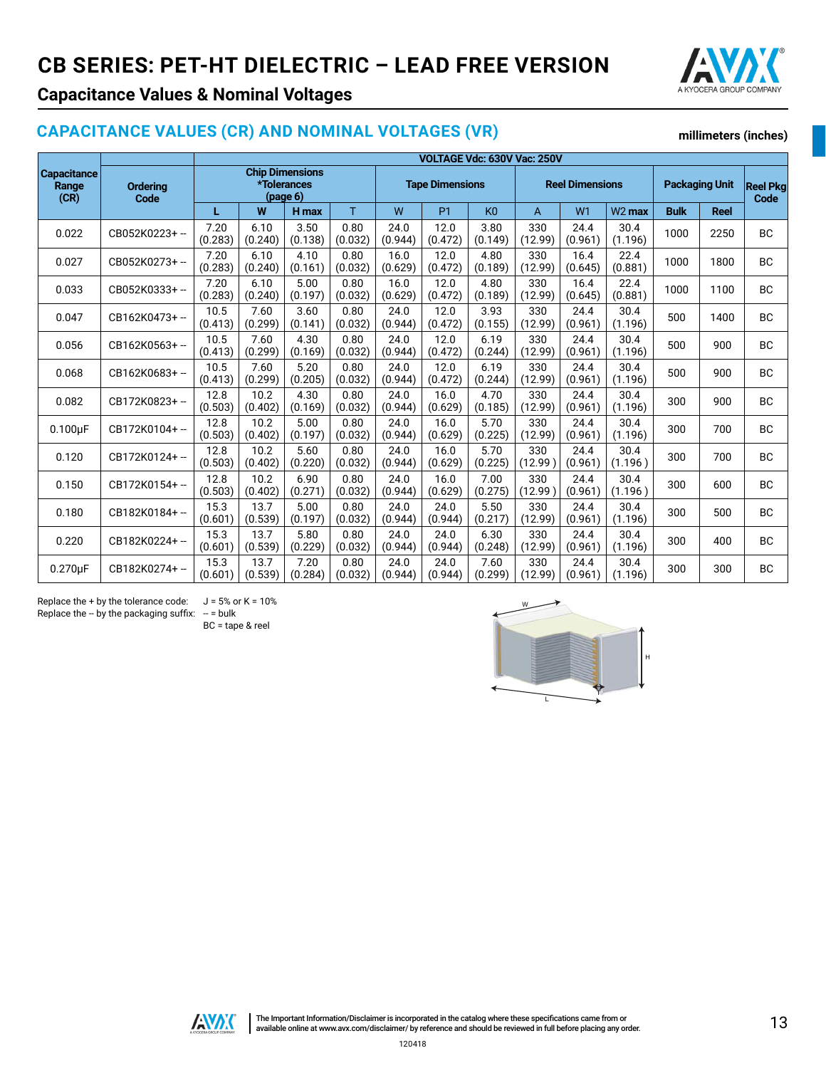

**millimeters (inches)**

# **Capacitance Values & Nominal Voltages**

### **CAPACITANCE VALUES (CR) AND NOMINAL VOLTAGES (VR)**

|                                     |                 |                                                           | VOLTAGE Vdc: 630V Vac: 250V |                        |                 |                 |                        |                 |                |                       |                 |                                |             |           |
|-------------------------------------|-----------------|-----------------------------------------------------------|-----------------------------|------------------------|-----------------|-----------------|------------------------|-----------------|----------------|-----------------------|-----------------|--------------------------------|-------------|-----------|
| <b>Capacitance</b><br>Range<br>(CR) | <b>Ordering</b> | <b>Chip Dimensions</b><br>*Tolerances<br>(page 6)<br>Code |                             | <b>Tape Dimensions</b> |                 |                 | <b>Reel Dimensions</b> |                 |                | <b>Packaging Unit</b> |                 | <b>Reel Pkg</b><br><b>Code</b> |             |           |
|                                     |                 | L                                                         | W                           | H max                  | T               | W               | P <sub>1</sub>         | K <sub>0</sub>  | A              | W <sub>1</sub>        | $W2$ max        | <b>Bulk</b>                    | <b>Reel</b> |           |
| 0.022                               | CB052K0223+-    | 7.20<br>(0.283)                                           | 6.10<br>(0.240)             | 3.50<br>(0.138)        | 0.80<br>(0.032) | 24.0<br>(0.944) | 12.0<br>(0.472)        | 3.80<br>(0.149) | 330<br>(12.99) | 24.4<br>(0.961)       | 30.4<br>(1.196) | 1000                           | 2250        | <b>BC</b> |
| 0.027                               | CB052K0273+-    | 7.20<br>(0.283)                                           | 6.10<br>(0.240)             | 4.10<br>(0.161)        | 0.80<br>(0.032) | 16.0<br>(0.629) | 12.0<br>(0.472)        | 4.80<br>(0.189) | 330<br>(12.99) | 16.4<br>(0.645)       | 22.4<br>(0.881) | 1000                           | 1800        | <b>BC</b> |
| 0.033                               | CB052K0333+-    | 7.20<br>(0.283)                                           | 6.10<br>(0.240)             | 5.00<br>(0.197)        | 0.80<br>(0.032) | 16.0<br>(0.629) | 12.0<br>(0.472)        | 4.80<br>(0.189) | 330<br>(12.99) | 16.4<br>(0.645)       | 22.4<br>(0.881) | 1000                           | 1100        | <b>BC</b> |
| 0.047                               | CB162K0473+-    | 10.5<br>(0.413)                                           | 7.60<br>(0.299)             | 3.60<br>(0.141)        | 0.80<br>(0.032) | 24.0<br>(0.944) | 12.0<br>(0.472)        | 3.93<br>(0.155) | 330<br>(12.99) | 24.4<br>(0.961)       | 30.4<br>(1.196) | 500                            | 1400        | <b>BC</b> |
| 0.056                               | CB162K0563+-    | 10.5<br>(0.413)                                           | 7.60<br>(0.299)             | 4.30<br>(0.169)        | 0.80<br>(0.032) | 24.0<br>(0.944) | 12.0<br>(0.472)        | 6.19<br>(0.244) | 330<br>(12.99) | 24.4<br>(0.961)       | 30.4<br>(1.196) | 500                            | 900         | <b>BC</b> |
| 0.068                               | CB162K0683+-    | 10.5<br>(0.413)                                           | 7.60<br>(0.299)             | 5.20<br>(0.205)        | 0.80<br>(0.032) | 24.0<br>(0.944) | 12.0<br>(0.472)        | 6.19<br>(0.244) | 330<br>(12.99) | 24.4<br>(0.961)       | 30.4<br>(1.196) | 500                            | 900         | <b>BC</b> |
| 0.082                               | CB172K0823+-    | 12.8<br>(0.503)                                           | 10.2<br>(0.402)             | 4.30<br>(0.169)        | 0.80<br>(0.032) | 24.0<br>(0.944) | 16.0<br>(0.629)        | 4.70<br>(0.185) | 330<br>(12.99) | 24.4<br>(0.961)       | 30.4<br>(1.196) | 300                            | 900         | <b>BC</b> |
| $0.100\mu F$                        | CB172K0104+-    | 12.8<br>(0.503)                                           | 10.2<br>(0.402)             | 5.00<br>(0.197)        | 0.80<br>(0.032) | 24.0<br>(0.944) | 16.0<br>(0.629)        | 5.70<br>(0.225) | 330<br>(12.99) | 24.4<br>(0.961)       | 30.4<br>(1.196) | 300                            | 700         | <b>BC</b> |
| 0.120                               | CB172K0124+-    | 12.8<br>(0.503)                                           | 10.2<br>(0.402)             | 5.60<br>(0.220)        | 0.80<br>(0.032) | 24.0<br>(0.944) | 16.0<br>(0.629)        | 5.70<br>(0.225) | 330<br>(12.99) | 24.4<br>(0.961)       | 30.4<br>(1.196) | 300                            | 700         | <b>BC</b> |
| 0.150                               | CB172K0154+-    | 12.8<br>(0.503)                                           | 10.2<br>(0.402)             | 6.90<br>(0.271)        | 0.80<br>(0.032) | 24.0<br>(0.944) | 16.0<br>(0.629)        | 7.00<br>(0.275) | 330<br>(12.99) | 24.4<br>(0.961)       | 30.4<br>(1.196) | 300                            | 600         | <b>BC</b> |
| 0.180                               | CB182K0184+-    | 15.3<br>(0.601)                                           | 13.7<br>(0.539)             | 5.00<br>(0.197)        | 0.80<br>(0.032) | 24.0<br>(0.944) | 24.0<br>(0.944)        | 5.50<br>(0.217) | 330<br>(12.99) | 24.4<br>(0.961)       | 30.4<br>(1.196) | 300                            | 500         | <b>BC</b> |
| 0.220                               | CB182K0224+-    | 15.3<br>(0.601)                                           | 13.7<br>(0.539)             | 5.80<br>(0.229)        | 0.80<br>(0.032) | 24.0<br>(0.944) | 24.0<br>(0.944)        | 6.30<br>(0.248) | 330<br>(12.99) | 24.4<br>(0.961)       | 30.4<br>(1.196) | 300                            | 400         | <b>BC</b> |
| $0.270\mu F$                        | CB182K0274+-    | 15.3<br>(0.601)                                           | 13.7<br>(0.539)             | 7.20<br>(0.284)        | 0.80<br>(0.032) | 24.0<br>(0.944) | 24.0<br>(0.944)        | 7.60<br>(0.299) | 330<br>(12.99) | 24.4<br>(0.961)       | 30.4<br>(1.196) | 300                            | 300         | <b>BC</b> |

Replace the + by the tolerance code:  $J = 5%$  or K = 10% Replace the  $-$  by the packaging suffix:  $-$  = bulk

BC = tape & reel





120418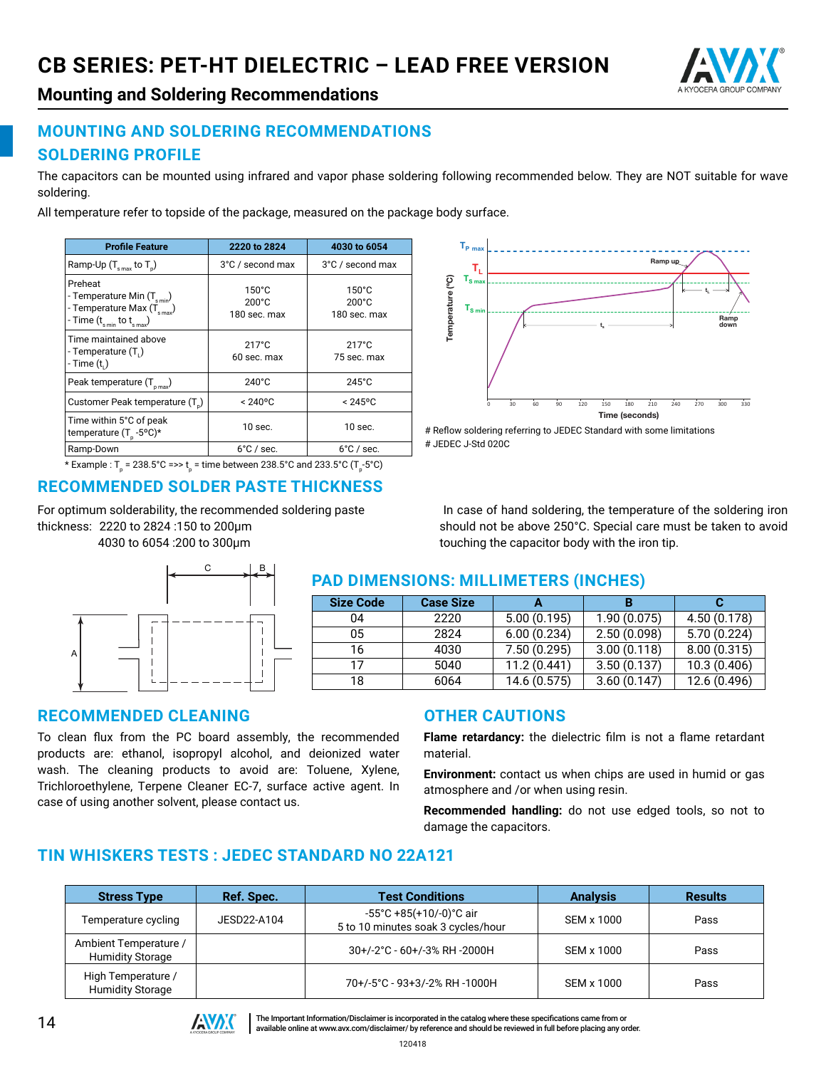

**Mounting and Soldering Recommendations**

# **MOUNTING AND SOLDERING RECOMMENDATIONS SOLDERING PROFILE**

The capacitors can be mounted using infrared and vapor phase soldering following recommended below. They are NOT suitable for wave soldering.

All temperature refer to topside of the package, measured on the package body surface.

| <b>Profile Feature</b>                                                                                                     | 2220 to 2824                                       | 4030 to 6054                                       |
|----------------------------------------------------------------------------------------------------------------------------|----------------------------------------------------|----------------------------------------------------|
| Ramp-Up $(T_{\text{max}}$ to $T_{\text{n}}$ )                                                                              | 3°C / second max                                   | 3°C / second max                                   |
| Preheat<br>- Temperature Min $(T_{s,min})$<br>- Temperature Max $(T_{\text{smax}})$<br>- Time $(t_{s min}$ to $t_{s max})$ | $150^{\circ}$ C<br>$200^{\circ}$ C<br>180 sec. max | $150^{\circ}$ C<br>$200^{\circ}$ C<br>180 sec. max |
| Time maintained above<br>- Temperature (T.)<br>- Time $(ti)$                                                               | $217^{\circ}$ C<br>60 sec. max                     | $217^{\circ}$ C<br>75 sec. max                     |
| Peak temperature $(T_{pmax})$                                                                                              | $240^{\circ}$ C                                    | $245^{\circ}$ C                                    |
| Customer Peak temperature (T)                                                                                              | $< 240^{\circ}$ C                                  | $< 245$ °C                                         |
| Time within 5°C of peak<br>temperature $(T_{n} - 5^{o}C)^{*}$                                                              | $10$ sec.                                          | $10$ sec.                                          |
| Ramp-Down                                                                                                                  | $6^{\circ}$ C / sec.                               | $6^{\circ}$ C / sec.                               |

\* Example : T<sub>p</sub> = 238.5°C =>> t<sub>p</sub> = time between 238.5°C and 233.5°C (T<sub>p</sub>-5°C)

# **RECOMMENDED SOLDER PASTE THICKNESS**

For optimum solderability, the recommended soldering paste thickness: 2220 to 2824 :150 to 200μm 4030 to 6054 :200 to 300μm



#### **TP max** Ramp up  $\mathbf{T}_{\mathrm{L}}$ Temperature (°C) Temperature (ºC)  $T_{\rm e}$ **tL TS min** Ramp down **ts** 0 30 60 90 120 150 180 210 240 270 300 330 Time (seconds)

# Reflow soldering referring to JEDEC Standard with some limitations # JEDEC J-Std 020C

 In case of hand soldering, the temperature of the soldering iron should not be above 250°C. Special care must be taken to avoid touching the capacitor body with the iron tip.

#### **PAD DIMENSIONS: MILLIMETERS (INCHES)**

| <b>Size Code</b> | <b>Case Size</b> |              | в           |              |
|------------------|------------------|--------------|-------------|--------------|
| 04               | 2220             | 5.00(0.195)  | 1.90(0.075) | 4.50 (0.178) |
| 05               | 2824             | 6.00(0.234)  | 2.50(0.098) | 5.70 (0.224) |
| 16               | 4030             | 7.50(0.295)  | 3.00(0.118) | 8.00(0.315)  |
| 17               | 5040             | 11.2(0.441)  | 3.50(0.137) | 10.3(0.406)  |
| 18               | 6064             | 14.6 (0.575) | 3.60(0.147) | 12.6 (0.496) |

#### **RECOMMENDED CLEANING**

To clean flux from the PC board assembly, the recommended products are: ethanol, isopropyl alcohol, and deionized water wash. The cleaning products to avoid are: Toluene, Xylene, Trichloroethylene, Terpene Cleaner EC-7, surface active agent. In case of using another solvent, please contact us.

#### **OTHER CAUTIONS**

**Flame retardancy:** the dielectric film is not a flame retardant material.

**Environment:** contact us when chips are used in humid or gas atmosphere and /or when using resin.

**Recommended handling:** do not use edged tools, so not to damage the capacitors.

# **TIN WHISKERS TESTS : JEDEC STANDARD NO 22A121**

| <b>Stress Type</b>                               | Ref. Spec.  | <b>Test Conditions</b>                                                             | <b>Analysis</b> | <b>Results</b> |
|--------------------------------------------------|-------------|------------------------------------------------------------------------------------|-----------------|----------------|
| Temperature cycling                              | JESD22-A104 | $-55^{\circ}$ C +85(+10/-0) $^{\circ}$ C air<br>5 to 10 minutes soak 3 cycles/hour | SEM x 1000      | Pass           |
| Ambient Temperature /<br><b>Humidity Storage</b> |             | 30+/-2°C - 60+/-3% RH -2000H                                                       | SEM x 1000      | Pass           |
| High Temperature /<br><b>Humidity Storage</b>    |             | 70+/-5°C - 93+3/-2% RH -1000H                                                      | SEM x 1000      | Pass           |



THE Important Information/Disclaimer is incorporated in the catalog where these specifications came from or available online at [www.avx.com/disclaimer/](http://www.avx.com/resources/catalogs/datasheet-catalog-disclaimer/) by reference and should be reviewed in full before placing any order.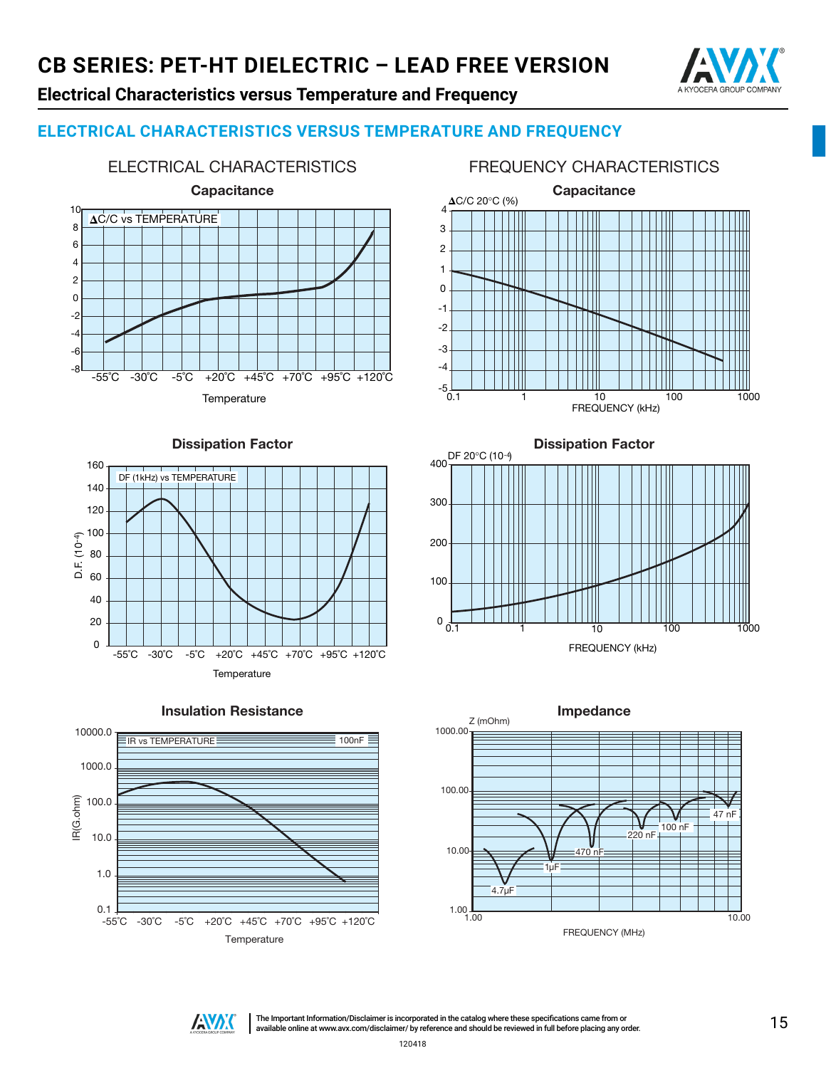

# **Electrical Characteristics versus Temperature and Frequency**

#### **ELECTRICAL CHARACTERISTICS VERSUS TEMPERATURE AND FREQUENCY**



#### FREQUENCY CHARACTERISTICS



#### Dissipation Factor





#### Insulation Resistance

# 400 300 200 100 <sup>0</sup> 0.1 <sup>1</sup> <sup>10</sup> <sup>100</sup> <sup>1000</sup> DF 20°C (10-4)

Dissipation Factor

FREQUENCY (kHz)





The Important Information/Disclaimer is incorporated in the catalog where these specifications came from or The Important Information/Disclaimer is incorporated in the catalog where these specifications came from or and should be reviewed in full before placing any order.  $15\,$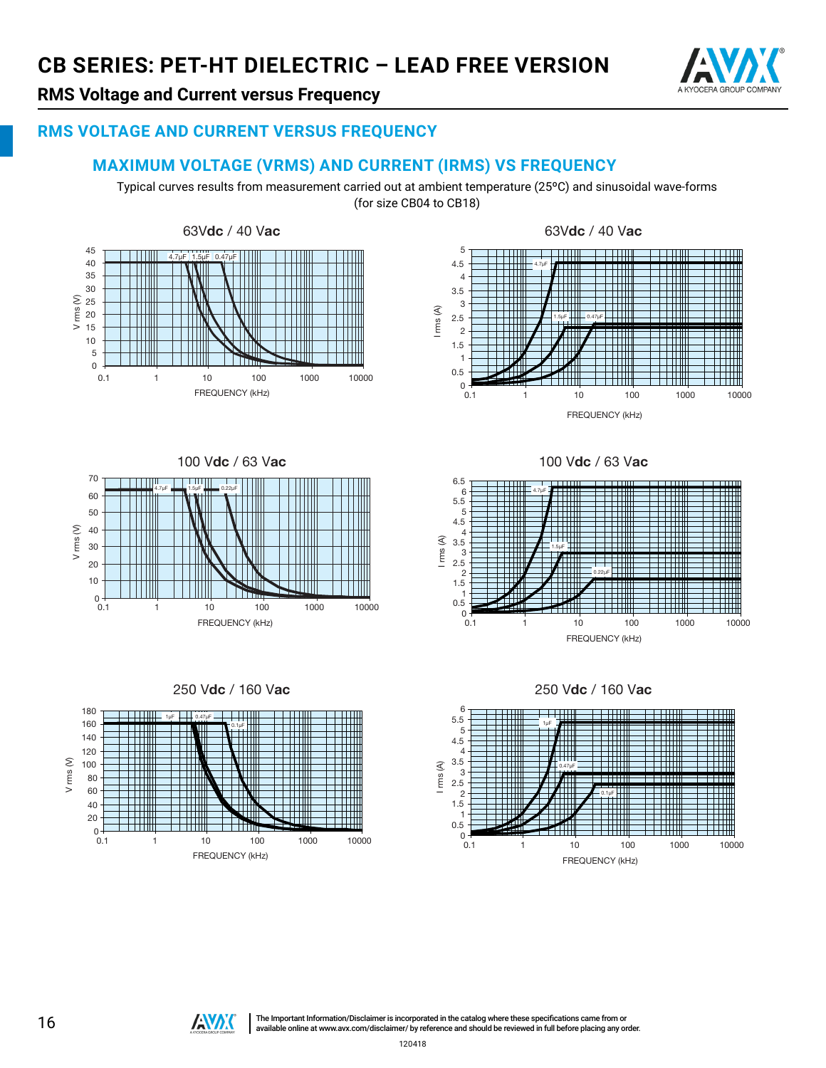

# **RMS Voltage and Current versus Frequency**

#### **RMS VOLTAGE AND CURRENT VERSUS FREQUENCY**

#### **MAXIMUM VOLTAGE (VRMS) AND CURRENT (IRMS) VS FREQUENCY**

Typical curves results from measurement carried out at ambient temperature (25ºC) and sinusoidal wave-forms (for size CB04 to CB18)











100 Vdc / 63 Vac





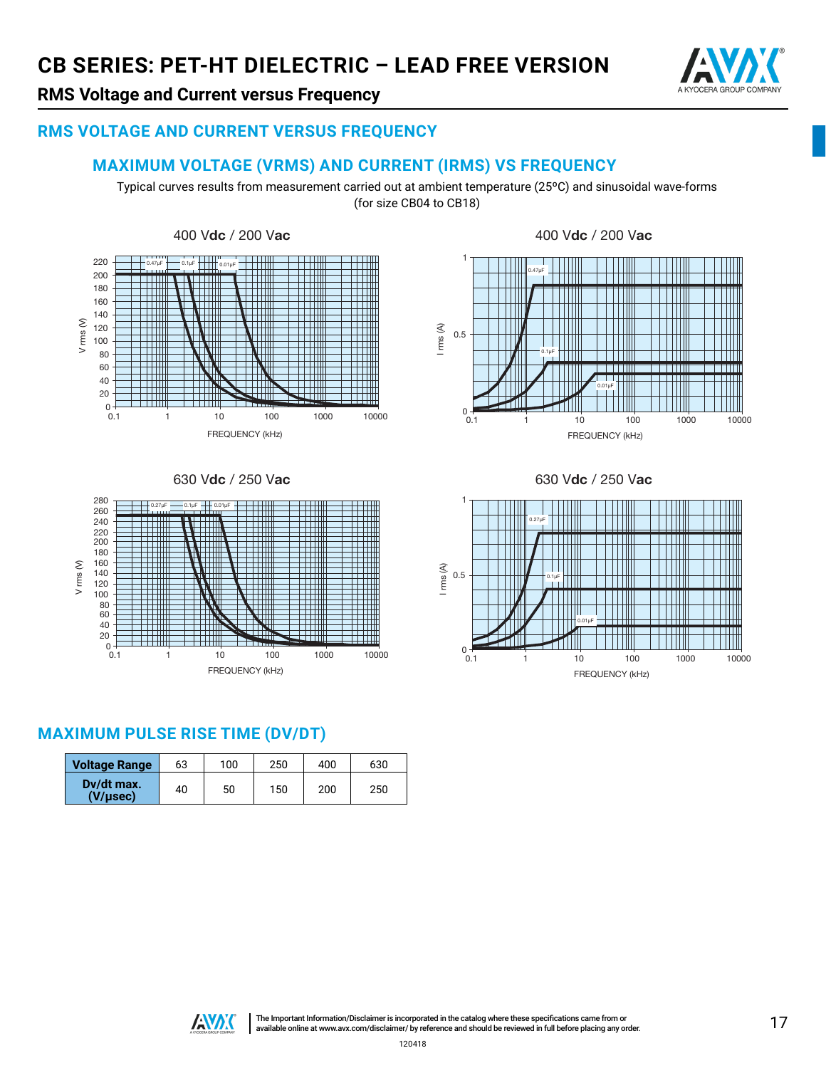

# **RMS Voltage and Current versus Frequency**

#### **RMS VOLTAGE AND CURRENT VERSUS FREQUENCY**

#### **MAXIMUM VOLTAGE (VRMS) AND CURRENT (IRMS) VS FREQUENCY**

Typical curves results from measurement carried out at ambient temperature (25ºC) and sinusoidal wave-forms (for size CB04 to CB18)

0

0.5

I rms (A)

1

0.47µF

THE

TIII

0.1µF



630 Vdc / 250 Vac 630 Vdc / 250 Vac



**MAXIMUM PULSE RISE TIME (DV/DT)**

| <b>Voltage Range</b>        | 63 | 100 | 250 | 400 | 630 |
|-----------------------------|----|-----|-----|-----|-----|
| Dv/dt max.<br>$(V/\mu sec)$ | 40 | 50  | 150 | 200 | 250 |

0.1 1 10 100 1000 10000 FREQUENCY (kHz)

0.01µF

HII

TTIII

أأأتأت

III

THE

Ш

فتقتحت

i vizi sid





120418